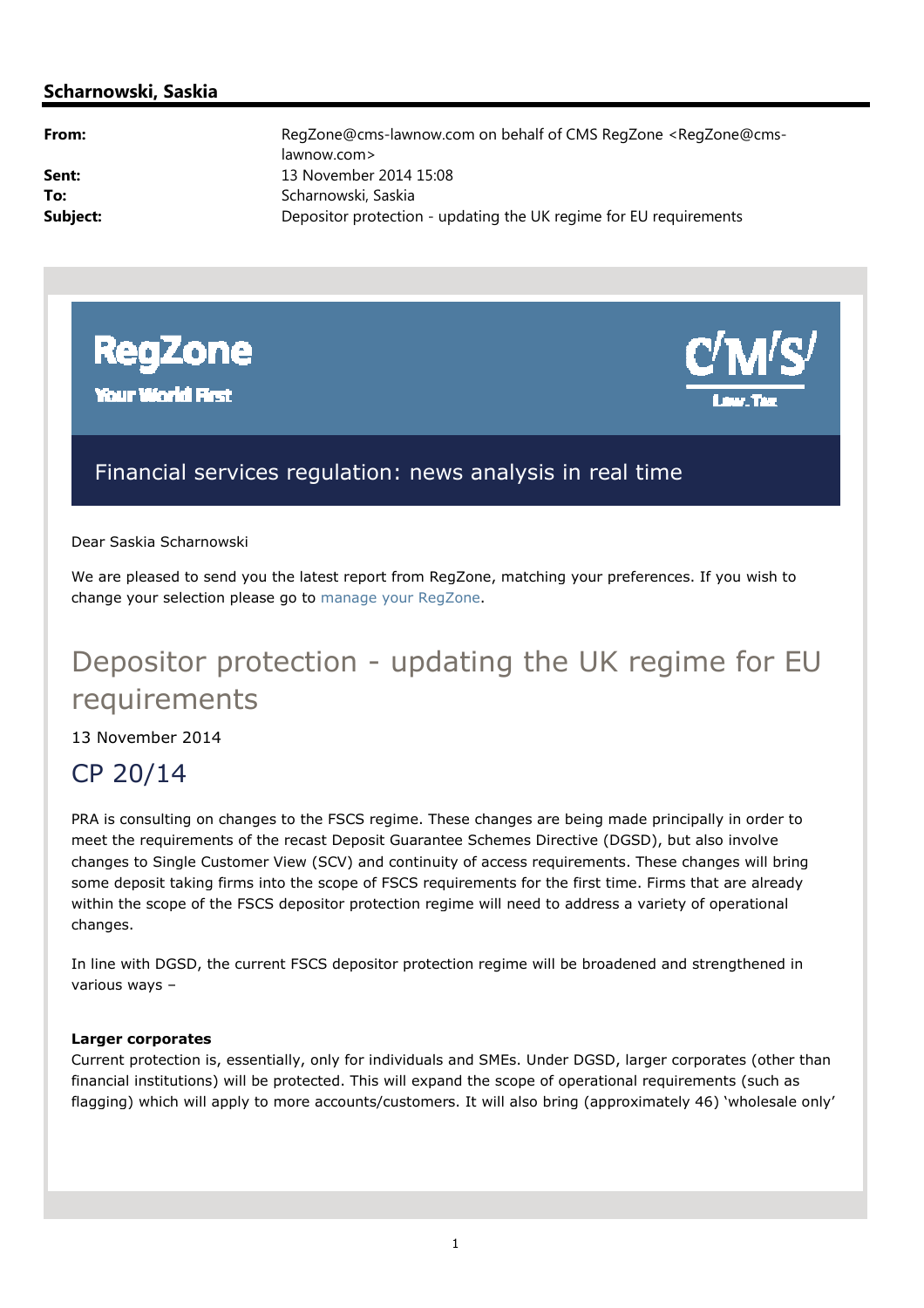# **Scharnowski, Saskia**

**From:** RegZone@cms-lawnow.com on behalf of CMS RegZone <RegZone@cmslawnow.com> **Sent:** 13 November 2014 15:08 To: Scharnowski, Saskia **Subject:** Depositor protection - updating the UK regime for EU requirements



**Your World First** 



# Financial services regulation: news analysis in real time

Dear Saskia Scharnowski

We are pleased to send you the latest report from RegZone, matching your preferences. If you wish to change your selection please go to manage your RegZone.

# Depositor protection - updating the UK regime for EU requirements

13 November 2014

# CP 20/14

PRA is consulting on changes to the FSCS regime. These changes are being made principally in order to meet the requirements of the recast Deposit Guarantee Schemes Directive (DGSD), but also involve changes to Single Customer View (SCV) and continuity of access requirements. These changes will bring some deposit taking firms into the scope of FSCS requirements for the first time. Firms that are already within the scope of the FSCS depositor protection regime will need to address a variety of operational changes.

In line with DGSD, the current FSCS depositor protection regime will be broadened and strengthened in various ways –

# **Larger corporates**

Current protection is, essentially, only for individuals and SMEs. Under DGSD, larger corporates (other than financial institutions) will be protected. This will expand the scope of operational requirements (such as flagging) which will apply to more accounts/customers. It will also bring (approximately 46) 'wholesale only'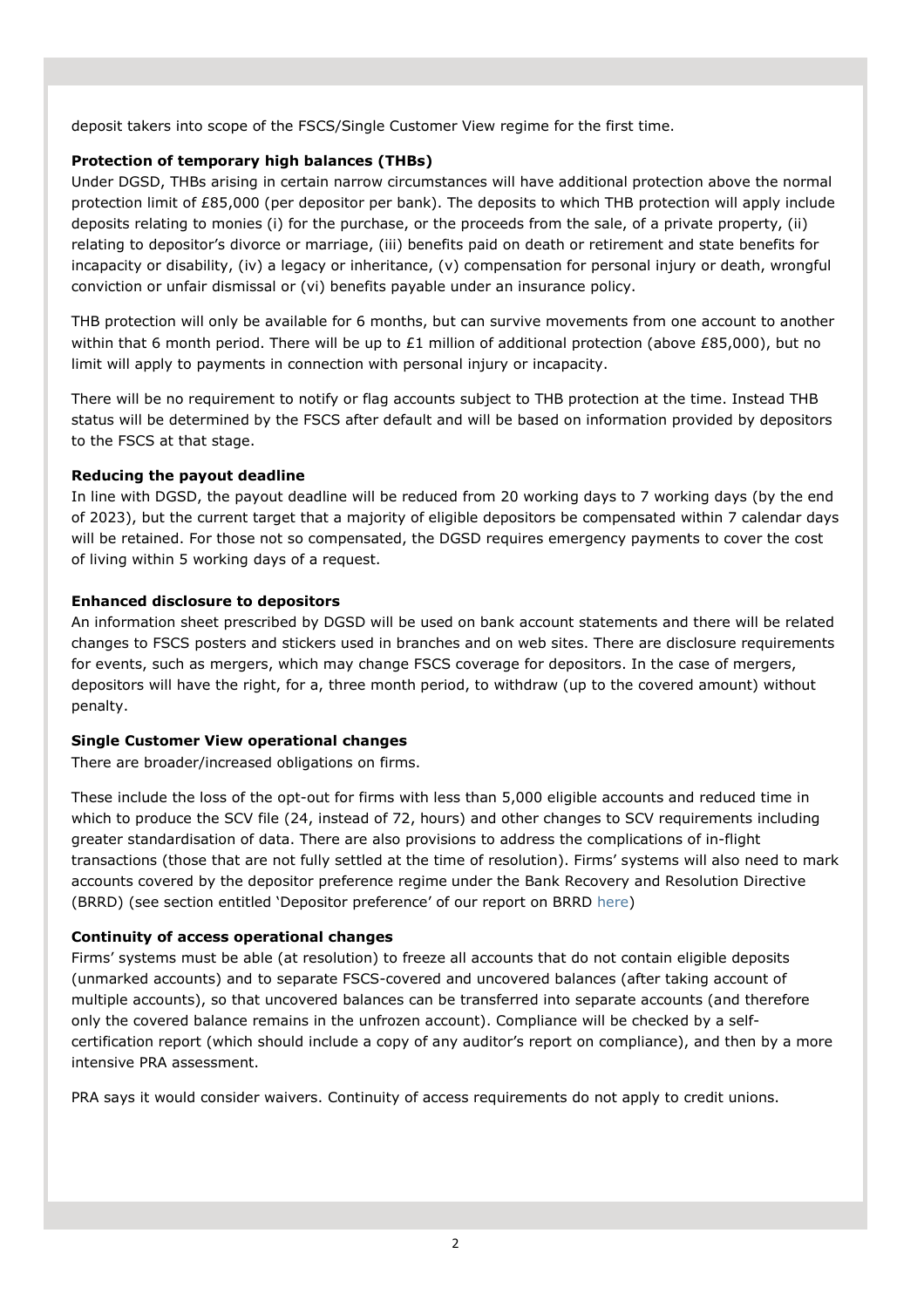deposit takers into scope of the FSCS/Single Customer View regime for the first time.

# **Protection of temporary high balances (THBs)**

Under DGSD, THBs arising in certain narrow circumstances will have additional protection above the normal protection limit of £85,000 (per depositor per bank). The deposits to which THB protection will apply include deposits relating to monies (i) for the purchase, or the proceeds from the sale, of a private property, (ii) relating to depositor's divorce or marriage, (iii) benefits paid on death or retirement and state benefits for incapacity or disability, (iv) a legacy or inheritance, (v) compensation for personal injury or death, wrongful conviction or unfair dismissal or (vi) benefits payable under an insurance policy.

THB protection will only be available for 6 months, but can survive movements from one account to another within that 6 month period. There will be up to £1 million of additional protection (above £85,000), but no limit will apply to payments in connection with personal injury or incapacity.

There will be no requirement to notify or flag accounts subject to THB protection at the time. Instead THB status will be determined by the FSCS after default and will be based on information provided by depositors to the FSCS at that stage.

# **Reducing the payout deadline**

In line with DGSD, the payout deadline will be reduced from 20 working days to 7 working days (by the end of 2023), but the current target that a majority of eligible depositors be compensated within 7 calendar days will be retained. For those not so compensated, the DGSD requires emergency payments to cover the cost of living within 5 working days of a request.

# **Enhanced disclosure to depositors**

An information sheet prescribed by DGSD will be used on bank account statements and there will be related changes to FSCS posters and stickers used in branches and on web sites. There are disclosure requirements for events, such as mergers, which may change FSCS coverage for depositors. In the case of mergers, depositors will have the right, for a, three month period, to withdraw (up to the covered amount) without penalty.

# **Single Customer View operational changes**

There are broader/increased obligations on firms.

These include the loss of the opt-out for firms with less than 5,000 eligible accounts and reduced time in which to produce the SCV file (24, instead of 72, hours) and other changes to SCV requirements including greater standardisation of data. There are also provisions to address the complications of in-flight transactions (those that are not fully settled at the time of resolution). Firms' systems will also need to mark accounts covered by the depositor preference regime under the Bank Recovery and Resolution Directive (BRRD) (see section entitled 'Depositor preference' of our report on BRRD here)

# **Continuity of access operational changes**

Firms' systems must be able (at resolution) to freeze all accounts that do not contain eligible deposits (unmarked accounts) and to separate FSCS-covered and uncovered balances (after taking account of multiple accounts), so that uncovered balances can be transferred into separate accounts (and therefore only the covered balance remains in the unfrozen account). Compliance will be checked by a selfcertification report (which should include a copy of any auditor's report on compliance), and then by a more intensive PRA assessment.

PRA says it would consider waivers. Continuity of access requirements do not apply to credit unions.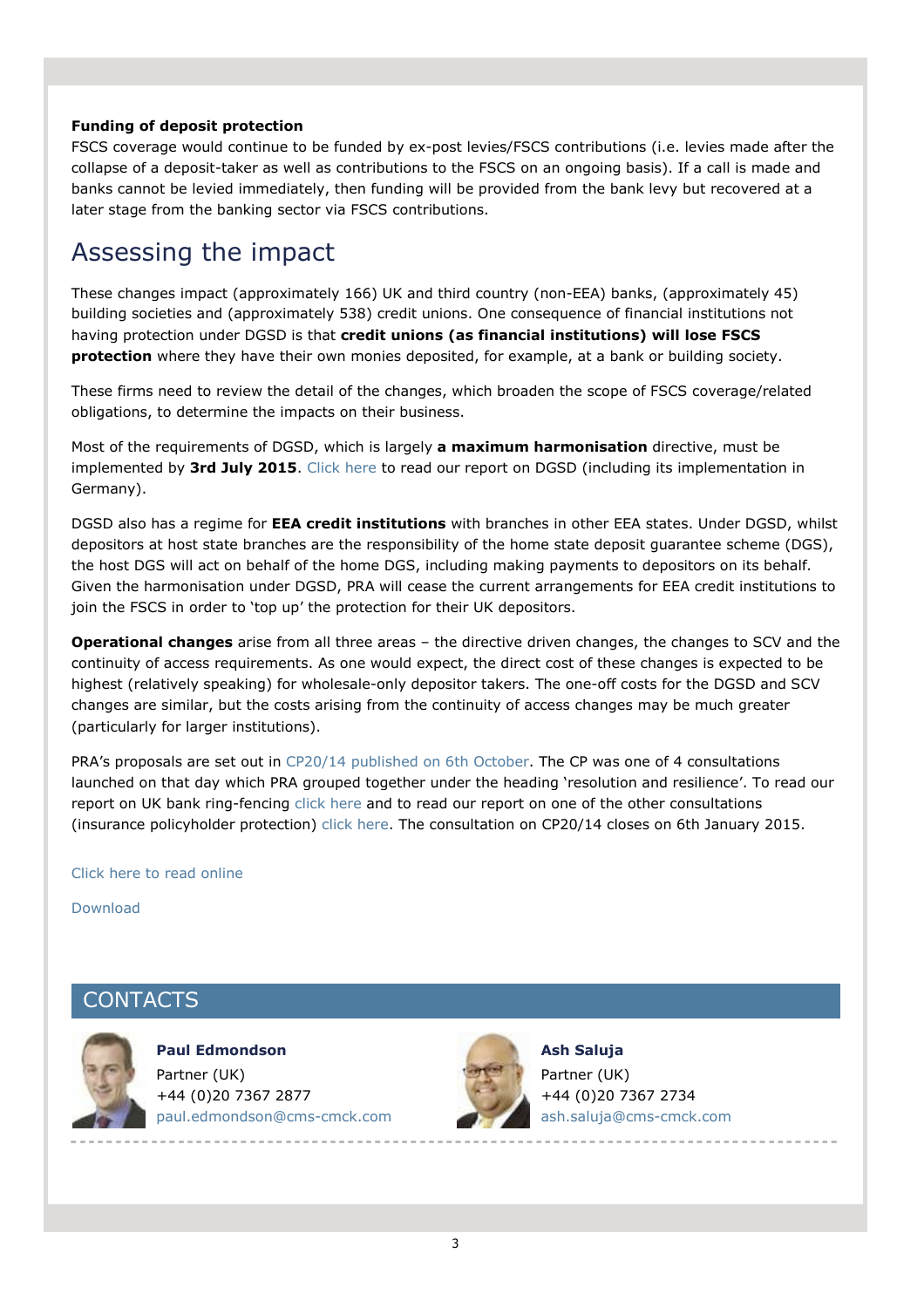#### **Funding of deposit protection**

FSCS coverage would continue to be funded by ex-post levies/FSCS contributions (i.e. levies made after the collapse of a deposit-taker as well as contributions to the FSCS on an ongoing basis). If a call is made and banks cannot be levied immediately, then funding will be provided from the bank levy but recovered at a later stage from the banking sector via FSCS contributions.

# Assessing the impact

These changes impact (approximately 166) UK and third country (non-EEA) banks, (approximately 45) building societies and (approximately 538) credit unions. One consequence of financial institutions not having protection under DGSD is that **credit unions (as financial institutions) will lose FSCS protection** where they have their own monies deposited, for example, at a bank or building society.

These firms need to review the detail of the changes, which broaden the scope of FSCS coverage/related obligations, to determine the impacts on their business.

Most of the requirements of DGSD, which is largely **a maximum harmonisation** directive, must be implemented by **3rd July 2015**. Click here to read our report on DGSD (including its implementation in Germany).

DGSD also has a regime for **EEA credit institutions** with branches in other EEA states. Under DGSD, whilst depositors at host state branches are the responsibility of the home state deposit guarantee scheme (DGS), the host DGS will act on behalf of the home DGS, including making payments to depositors on its behalf. Given the harmonisation under DGSD, PRA will cease the current arrangements for EEA credit institutions to join the FSCS in order to 'top up' the protection for their UK depositors.

**Operational changes** arise from all three areas – the directive driven changes, the changes to SCV and the continuity of access requirements. As one would expect, the direct cost of these changes is expected to be highest (relatively speaking) for wholesale-only depositor takers. The one-off costs for the DGSD and SCV changes are similar, but the costs arising from the continuity of access changes may be much greater (particularly for larger institutions).

PRA's proposals are set out in CP20/14 published on 6th October. The CP was one of 4 consultations launched on that day which PRA grouped together under the heading 'resolution and resilience'. To read our report on UK bank ring-fencing click here and to read our report on one of the other consultations (insurance policyholder protection) click here. The consultation on CP20/14 closes on 6th January 2015.

#### Click here to read online

Download

# **CONTACTS**



**Paul Edmondson**  Partner (UK) +44 (0)20 7367 2877 paul.edmondson@cms-cmck.com



**Ash Saluja**  Partner (UK) +44 (0)20 7367 2734 ash.saluja@cms-cmck.com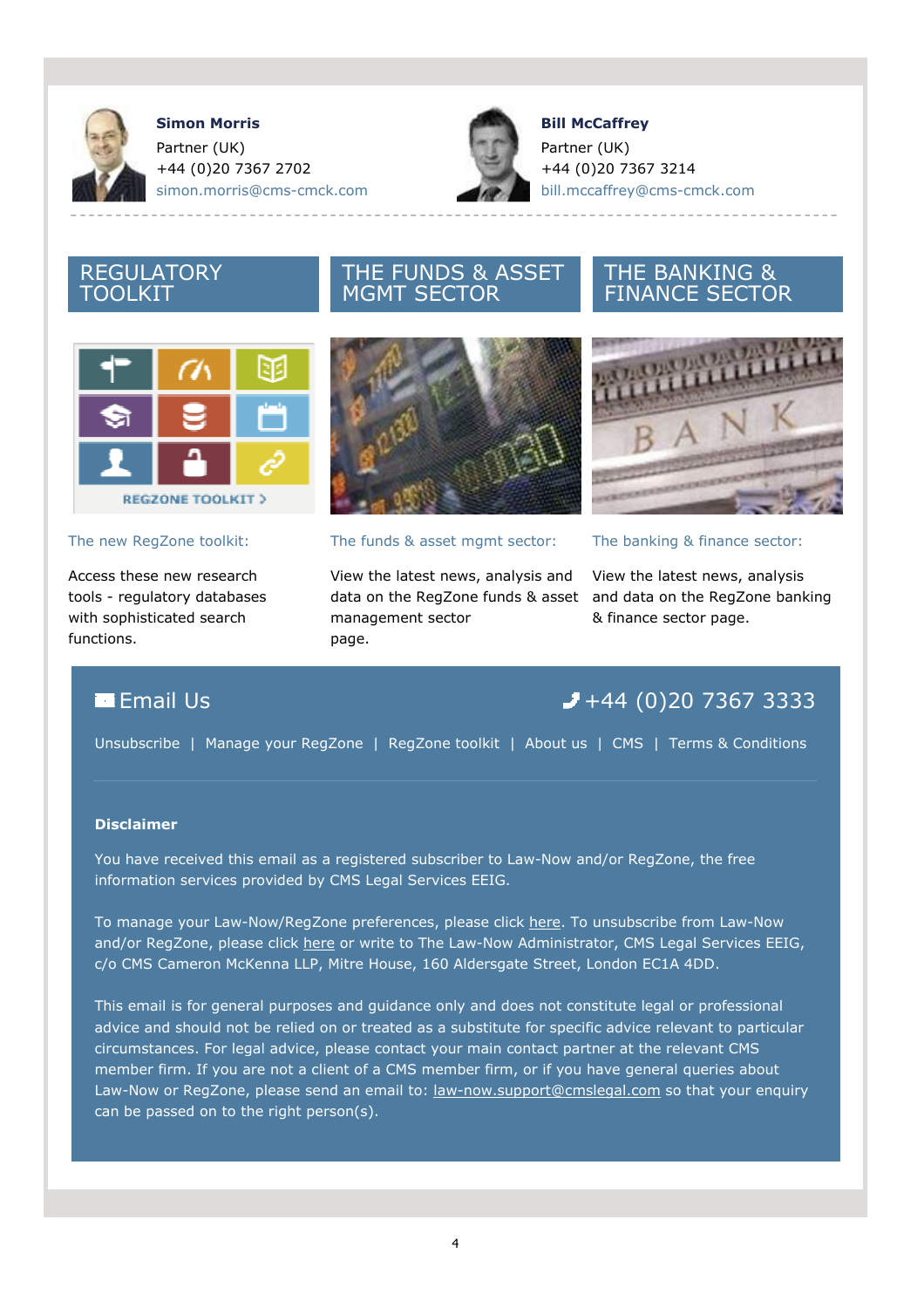

**Simon Morris**  Partner (UK) +44 (0)20 7367 2702 simon.morris@cms-cmck.com



**Bill McCaffrey**  Partner (UK) +44 (0)20 7367 3214 bill.mccaffrey@cms-cmck.com

# REGULATORY TOOLKIT

# сTя **REGZONE TOOLKIT >**

# The new RegZone toolkit:

Access these new research tools - regulatory databases with sophisticated search functions.



THE FUNDS & ASSET

MGMT SECTOR

# The funds & asset mgmt sector:

View the latest news, analysis and data on the RegZone funds & asset and data on the RegZone banking management sector page.

# THE BANKING & FINANCE SECTOR



# The banking & finance sector:

View the latest news, analysis & finance sector page.

# **Email Us**  $+44$  **(0)20 7367 3333**

Unsubscribe | Manage your RegZone | RegZone toolkit | About us | CMS | Terms & Conditions

# **Disclaimer**

You have received this email as a registered subscriber to Law-Now and/or RegZone, the free information services provided by CMS Legal Services EEIG.

To manage your Law-Now/RegZone preferences, please click here. To unsubscribe from Law-Now and/or RegZone, please click here or write to The Law-Now Administrator, CMS Legal Services EEIG, c/o CMS Cameron McKenna LLP, Mitre House, 160 Aldersgate Street, London EC1A 4DD.

This email is for general purposes and guidance only and does not constitute legal or professional advice and should not be relied on or treated as a substitute for specific advice relevant to particular circumstances. For legal advice, please contact your main contact partner at the relevant CMS member firm. If you are not a client of a CMS member firm, or if you have general queries about Law-Now or RegZone, please send an email to: law-now.support@cmslegal.com so that your enquiry can be passed on to the right person(s).